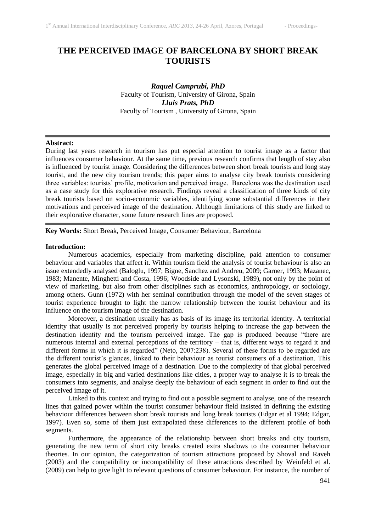# **THE PERCEIVED IMAGE OF BARCELONA BY SHORT BREAK TOURISTS**

*Raquel Camprubi, PhD* Faculty of Tourism, University of Girona, Spain *Lluis Prats, PhD* Faculty of Tourism , University of Girona, Spain

## **Abstract:**

During last years research in tourism has put especial attention to tourist image as a factor that influences consumer behaviour. At the same time, previous research confirms that length of stay also is influenced by tourist image. Considering the differences between short break tourists and long stay tourist, and the new city tourism trends; this paper aims to analyse city break tourists considering three variables: tourists' profile, motivation and perceived image. Barcelona was the destination used as a case study for this explorative research. Findings reveal a classification of three kinds of city break tourists based on socio-economic variables, identifying some substantial differences in their motivations and perceived image of the destination. Although limitations of this study are linked to their explorative character, some future research lines are proposed.

**Key Words:** Short Break, Perceived Image, Consumer Behaviour, Barcelona

# **Introduction:**

Numerous academics, especially from marketing discipline, paid attention to consumer behaviour and variables that affect it. Within tourism field the analysis of tourist behaviour is also an issue extendedly analysed (Baloglu, 1997; Bigne, Sanchez and Andreu, 2009; Garner, 1993; Mazanec, 1983; Manente, Minghetti and Costa, 1996; Woodside and Lysonski, 1989), not only by the point of view of marketing, but also from other disciplines such as economics, anthropology, or sociology, among others. Gunn (1972) with her seminal contribution through the model of the seven stages of tourist experience brought to light the narrow relationship between the tourist behaviour and its influence on the tourism image of the destination.

Moreover, a destination usually has as basis of its image its territorial identity. A territorial identity that usually is not perceived properly by tourists helping to increase the gap between the destination identity and the tourism perceived image. The gap is produced because "there are numerous internal and external perceptions of the territory – that is, different ways to regard it and different forms in which it is regarded" (Neto, 2007:238). Several of these forms to be regarded are the different tourist's glances, linked to their behaviour as tourist consumers of a destination. This generates the global perceived image of a destination. Due to the complexity of that global perceived image, especially in big and varied destinations like cities, a proper way to analyse it is to break the consumers into segments, and analyse deeply the behaviour of each segment in order to find out the perceived image of it.

Linked to this context and trying to find out a possible segment to analyse, one of the research lines that gained power within the tourist consumer behaviour field insisted in defining the existing behaviour differences between short break tourists and long break tourists (Edgar et al 1994; Edgar, 1997). Even so, some of them just extrapolated these differences to the different profile of both segments.

Furthermore, the appearance of the relationship between short breaks and city tourism, generating the new term of short city breaks created extra shadows to the consumer behaviour theories. In our opinion, the categorization of tourism attractions proposed by Shoval and Raveh (2003) and the compatibility or incompatibility of these attractions described by Weinfeld et al. (2009) can help to give light to relevant questions of consumer behaviour. For instance, the number of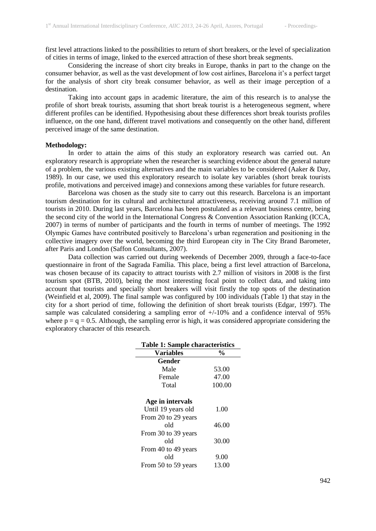first level attractions linked to the possibilities to return of short breakers, or the level of specialization of cities in terms of image, linked to the exerced attraction of these short break segments.

Considering the increase of short city breaks in Europe, thanks in part to the change on the consumer behavior, as well as the vast development of low cost airlines, Barcelona it's a perfect target for the analysis of short city break consumer behavior, as well as their image perception of a destination.

Taking into account gaps in academic literature, the aim of this research is to analyse the profile of short break tourists, assuming that short break tourist is a heterogeneous segment, where different profiles can be identified. Hypothesising about these differences short break tourists profiles influence, on the one hand, different travel motivations and consequently on the other hand, different perceived image of the same destination.

# **Methodology:**

In order to attain the aims of this study an exploratory research was carried out. An exploratory research is appropriate when the researcher is searching evidence about the general nature of a problem, the various existing alternatives and the main variables to be considered (Aaker & Day, 1989). In our case, we used this exploratory research to isolate key variables (short break tourists profile, motivations and perceived image) and connexions among these variables for future research.

Barcelona was chosen as the study site to carry out this research. Barcelona is an important tourism destination for its cultural and architectural attractiveness, receiving around 7.1 million of tourists in 2010. During last years, Barcelona has been postulated as a relevant business centre, being the second city of the world in the International Congress & Convention Association Ranking (ICCA, 2007) in terms of number of participants and the fourth in terms of number of meetings. The 1992 Olympic Games have contributed positively to Barcelona's urban regeneration and positioning in the collective imagery over the world, becoming the third European city in The City Brand Barometer, after Paris and London (Saffon Consultants, 2007).

Data collection was carried out during weekends of December 2009, through a face-to-face questionnaire in front of the Sagrada Família. This place, being a first level attraction of Barcelona, was chosen because of its capacity to attract tourists with 2.7 million of visitors in 2008 is the first tourism spot (BTB, 2010), being the most interesting focal point to collect data, and taking into account that tourists and specially short breakers will visit firstly the top spots of the destination (Weinfield et al, 2009). The final sample was configured by 100 individuals (Table 1) that stay in the city for a short period of time, following the definition of short break tourists (Edgar, 1997). The sample was calculated considering a sampling error of  $+/10\%$  and a confidence interval of 95% where  $p = q = 0.5$ . Although, the sampling error is high, it was considered appropriate considering the exploratory character of this research.

| <b>Table 1: Sample characteristics</b> |               |  |  |  |
|----------------------------------------|---------------|--|--|--|
| <b>Variables</b>                       | $\frac{6}{9}$ |  |  |  |
| Gender                                 |               |  |  |  |
| Male                                   | 53.00         |  |  |  |
| Female                                 | 47.00         |  |  |  |
| Total                                  | 100.00        |  |  |  |
| Age in intervals                       |               |  |  |  |
| Until 19 years old                     | 1.00          |  |  |  |
| From 20 to 29 years                    |               |  |  |  |
| old                                    | 46.00         |  |  |  |
| From 30 to 39 years                    |               |  |  |  |
| old                                    | 30.00         |  |  |  |
| From 40 to 49 years                    |               |  |  |  |
| old                                    | 9.00          |  |  |  |
| From 50 to 59 years                    | 13.00         |  |  |  |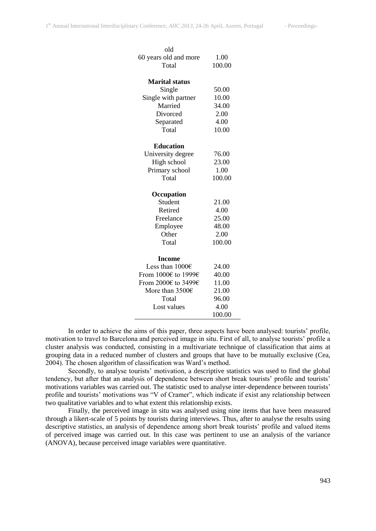| old<br>60 years old and more<br>Total | 1.00<br>100.00 |
|---------------------------------------|----------------|
| <b>Marital status</b>                 |                |
| Single                                | 50.00          |
| Single with partner                   | 10.00          |
| Married                               | 34.00          |
| Divorced                              | 2.00           |
| Separated                             | 4.00           |
| Total                                 | 10.00          |
|                                       |                |
| <b>Education</b>                      |                |
| University degree                     | 76.00          |
| High school                           | 23.00          |
| Primary school                        | 1.00           |
| Total                                 | 100.00         |
|                                       |                |
| Occupation                            |                |
| Student                               | 21.00          |
| Retired                               | 4.00           |
| Freelance                             | 25.00          |
| Employee                              | 48.00          |
| Other                                 | 2.00           |
| Total                                 | 100.00         |
| <b>Income</b>                         |                |
| Less than $1000 \in$                  | 24.00          |
| From 1000€ to 1999€                   | 40.00          |
| From 2000€ to 3499€                   | 11.00          |
| More than 3500€                       |                |
|                                       | 21.00          |
| Total                                 | 96.00          |
| Lost values                           | 4.00           |
|                                       | 100.00         |

In order to achieve the aims of this paper, three aspects have been analysed: tourists' profile, motivation to travel to Barcelona and perceived image in situ. First of all, to analyse tourists' profile a cluster analysis was conducted, consisting in a multivariate technique of classification that aims at grouping data in a reduced number of clusters and groups that have to be mutually exclusive (Cea, 2004). The chosen algorithm of classification was Ward's method.

Secondly, to analyse tourists' motivation, a descriptive statistics was used to find the global tendency, but after that an analysis of dependence between short break tourists' profile and tourists' motivations variables was carried out. The statistic used to analyse inter-dependence between tourists' profile and tourists' motivations was "V of Cramer", which indicate if exist any relationship between two qualitative variables and to what extent this relationship exists.

Finally, the perceived image in situ was analysed using nine items that have been measured through a likert-scale of 5 points by tourists during interviews. Thus, after to analyse the results using descriptive statistics, an analysis of dependence among short break tourists' profile and valued items of perceived image was carried out. In this case was pertinent to use an analysis of the variance (ANOVA), because perceived image variables were quantitative.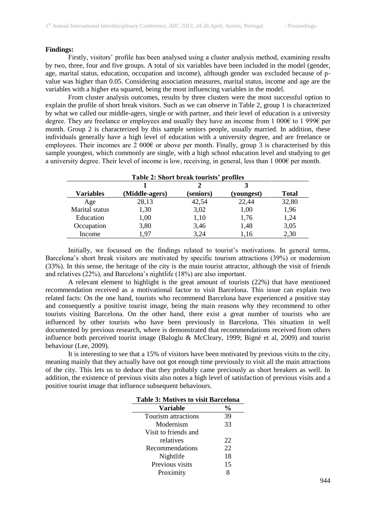### **Findings:**

Firstly, visitors' profile has been analysed using a cluster analysis method, examining results by two, three, four and five groups. A total of six variables have been included in the model (gender, age, marital status, education, occupation and income), although gender was excluded because of pvalue was higher than 0.05. Considering association measures, marital status, income and age are the variables with a higher eta squared, being the most influencing variables in the model.

From cluster analysis outcomes, results by three clusters were the most successful option to explain the profile of short break visitors. Such as we can observe in Table 2, group 1 is characterized by what we called our middle-agers, single or with partner, and their level of education is a university degree. They are freelance or employees and usually they have an income from 1 000€ to 1 999€ per month. Group 2 is characterized by this sample seniors people, usually married. In addition, these individuals generally have a high level of education with a university degree, and are freelance or employees. Their incomes are 2 000 $\epsilon$  or above per month. Finally, group 3 is characterised by this sample youngest, which commonly are single, with a high school education level and studying to get a university degree. Their level of income is low, receiving, in general, less than 1 000€ per month.

| Table 2: Short break tourists' profiles |                |           |            |              |  |
|-----------------------------------------|----------------|-----------|------------|--------------|--|
|                                         |                |           |            |              |  |
| Variables                               | (Middle-agers) | (seniors) | (youngest) | <b>Total</b> |  |
| Age                                     | 28,13          | 42,54     | 22,44      | 32,80        |  |
| Marital status                          | 1,30           | 3,02      | 1,00       | 1,96         |  |
| Education                               | 1,00           | 1,10      | 1,76       | 1,24         |  |
| Occupation                              | 3,80           | 3,46      | 1,48       | 3,05         |  |
| Income                                  | 1.97           | 3,24      | 1,16       | 2,30         |  |

Initially, we focussed on the findings related to tourist's motivations. In general terms, Barcelona's short break visitors are motivated by specific tourism attractions (39%) or modernism (33%). In this sense, the heritage of the city is the main tourist attractor, although the visit of friends and relatives (22%), and Barcelona's nightlife (18%) are also important.

A relevant element to highlight is the great amount of tourists (22%) that have mentioned recommendation received as a motivational factor to visit Barcelona. This issue can explain two related facts: On the one hand, tourists who recommend Barcelona have experienced a positive stay and consequently a positive tourist image, being the main reasons why they recommend to other tourists visiting Barcelona. On the other hand, there exist a great number of tourists who are influenced by other tourists who have been previously in Barcelona. This situation in well documented by previous research, where is demonstrated that recommendations received from others influence both perceived tourist image (Baloglu & McCleary, 1999; Bigné et al, 2009) and tourist behaviour (Lee, 2009).

It is interesting to see that a 15% of visitors have been motivated by previous visits to the city, meaning mainly that they actually have not got enough time previously to visit all the main attractions of the city. This lets us to deduce that they probably came preciously as short breakers as well. In addition, the existence of previous visits also notes a high level of satisfaction of previous visits and a positive tourist image that influence subsequent behaviours.

| <b>Table 3: Motives to visit Barcelona</b> |                |  |  |  |
|--------------------------------------------|----------------|--|--|--|
| Variable                                   | $\frac{6}{10}$ |  |  |  |
| Tourism attractions                        | 39             |  |  |  |
| Modernism                                  | 33             |  |  |  |
| Visit to friends and                       |                |  |  |  |
| relatives                                  | 22             |  |  |  |
| Recommendations                            | 22             |  |  |  |
| Nightlife                                  | 18             |  |  |  |
| Previous visits                            | 15             |  |  |  |
| Proximity                                  | 8              |  |  |  |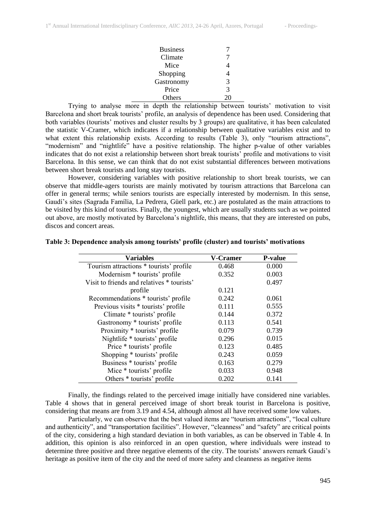| <b>Business</b> |    |
|-----------------|----|
| Climate         |    |
| Mice            |    |
| Shopping        | 4  |
| Gastronomy      | 3  |
| Price           | 3  |
| Others          | 20 |

Trying to analyse more in depth the relationship between tourists' motivation to visit Barcelona and short break tourists' profile, an analysis of dependence has been used. Considering that both variables (tourists' motives and cluster results by 3 groups) are qualitative, it has been calculated the statistic V-Cramer, which indicates if a relationship between qualitative variables exist and to what extent this relationship exists. According to results (Table 3), only "tourism attractions", "modernism" and "nightlife" have a positive relationship. The higher p-value of other variables indicates that do not exist a relationship between short break tourists' profile and motivations to visit Barcelona. In this sense, we can think that do not exist substantial differences between motivations between short break tourists and long stay tourists.

However, considering variables with positive relationship to short break tourists, we can observe that middle-agers tourists are mainly motivated by tourism attractions that Barcelona can offer in general terms; while seniors tourists are especially interested by modernism. In this sense, Gaudí's sites (Sagrada Família, La Pedrera, Güell park, etc.) are postulated as the main attractions to be visited by this kind of tourists. Finally, the youngest, which are usually students such as we pointed out above, are mostly motivated by Barcelona's nightlife, this means, that they are interested on pubs, discos and concert areas.

| Variables                                  | <b>V-Cramer</b> | <b>P-value</b> |
|--------------------------------------------|-----------------|----------------|
| Tourism attractions * tourists' profile    | 0.468           | 0.000          |
| Modernism * tourists' profile              | 0.352           | 0.003          |
| Visit to friends and relatives * tourists' |                 | 0.497          |
| profile                                    | 0.121           |                |
| Recommendations * tourists' profile        | 0.242           | 0.061          |
| Previous visits * tourists' profile        | 0.111           | 0.555          |
| Climate * tourists' profile                | 0.144           | 0.372          |
| Gastronomy * tourists' profile             | 0.113           | 0.541          |
| Proximity * tourists' profile              | 0.079           | 0.739          |
| Nightlife * tourists' profile              | 0.296           | 0.015          |
| Price * tourists' profile                  | 0.123           | 0.485          |
| Shopping * tourists' profile               | 0.243           | 0.059          |
| Business * tourists' profile               | 0.163           | 0.279          |
| Mice * tourists' profile                   | 0.033           | 0.948          |
| Others * tourists' profile                 | 0.202           | 0.141          |

### **Table 3: Dependence analysis among tourists' profile (cluster) and tourists' motivations**

Finally, the findings related to the perceived image initially have considered nine variables. Table 4 shows that in general perceived image of short break tourist in Barcelona is positive, considering that means are from 3.19 and 4.54, although almost all have received some low values.

Particularly, we can observe that the best valued items are "tourism attractions", "local culture and authenticity", and "transportation facilities". However, "cleanness" and "safety" are critical points of the city, considering a high standard deviation in both variables, as can be observed in Table 4. In addition, this opinion is also reinforced in an open question, where individuals were instead to determine three positive and three negative elements of the city. The tourists' answers remark Gaudi's heritage as positive item of the city and the need of more safety and cleanness as negative items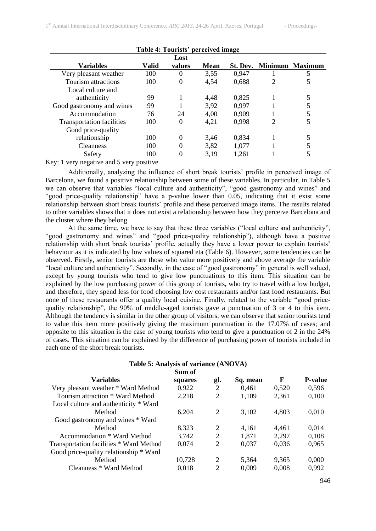| Table 4: Tourists' perceived image |       |          |      |          |                |                 |
|------------------------------------|-------|----------|------|----------|----------------|-----------------|
| Lost                               |       |          |      |          |                |                 |
| <b>Variables</b>                   | Valid | values   | Mean | St. Dev. |                | Minimum Maximum |
| Very pleasant weather              | 100   | $\Omega$ | 3,55 | 0.947    |                | 5               |
| Tourism attractions                | 100   | $\Omega$ | 4,54 | 0,688    | $\overline{c}$ | 5               |
| Local culture and                  |       |          |      |          |                |                 |
| authenticity                       | 99    |          | 4,48 | 0,825    |                |                 |
| Good gastronomy and wines          | 99    |          | 3.92 | 0,997    |                |                 |
| Accommodation                      | 76    | 24       | 4,00 | 0.909    |                |                 |
| <b>Transportation facilities</b>   | 100   | 0        | 4,21 | 0,998    | $\overline{c}$ | 5               |
| Good price-quality                 |       |          |      |          |                |                 |
| relationship                       | 100   | $\Omega$ | 3.46 | 0.834    |                | 5               |
| <b>Cleanness</b>                   | 100   |          | 3,82 | 1,077    |                |                 |
| Safety                             | 100   |          | 3.19 | 1,261    |                |                 |

Key: 1 very negative and 5 very positive

Additionally, analyzing the influence of short break tourists' profile in perceived image of Barcelona, we found a positive relationship between some of these variables. In particular, in Table 5 we can observe that variables "local culture and authenticity", "good gastronomy and wines" and "good price-quality relationship" have a p-value lower than 0.05, indicating that it exist some relationship between short break tourists' profile and these perceived image items. The results related to other variables shows that it does not exist a relationship between how they perceive Barcelona and the cluster where they belong.

At the same time, we have to say that these three variables ("local culture and authenticity", "good gastronomy and wines" and "good price-quality relationship"), although have a positive relationship with short break tourists' profile, actually they have a lower power to explain tourists' behaviour as it is indicated by low values of squared eta (Table 6). However, some tendencies can be observed. Firstly, senior tourists are those who value more positively and above average the variable "local culture and authenticity". Secondly, in the case of "good gastronomy" in general is well valued, except by young tourists who tend to give low punctuations to this item. This situation can be explained by the low purchasing power of this group of tourists, who try to travel with a low budget, and therefore, they spend less for food choosing low cost restaurants and/or fast food restaurants. But none of these restaurants offer a quality local cuisine. Finally, related to the variable "good pricequality relationship", the 90% of middle-aged tourists gave a punctuation of 3 or 4 to this item. Although the tendency is similar in the other group of visitors, we can observe that senior tourists tend to value this item more positively giving the maximum punctuation in the 17.07% of cases; and opposite to this situation is the case of young tourists who tend to give a punctuation of 2 in the 24% of cases. This situation can be explained by the difference of purchasing power of tourists included in each one of the short break tourists.

| Table 5: Analysis of variance (ANOVA)   |         |     |          |       |                |  |
|-----------------------------------------|---------|-----|----------|-------|----------------|--|
| Sum of                                  |         |     |          |       |                |  |
| <b>Variables</b>                        | squares | gl. | Sq. mean | F     | <b>P-value</b> |  |
| Very pleasant weather * Ward Method     | 0,922   | 2   | 0,461    | 0.520 | 0,596          |  |
| Tourism attraction * Ward Method        | 2,218   | 2   | 1,109    | 2.361 | 0,100          |  |
| Local culture and authenticity * Ward   |         |     |          |       |                |  |
| Method                                  | 6,204   | 2   | 3,102    | 4,803 | 0.010          |  |
| Good gastronomy and wines * Ward        |         |     |          |       |                |  |
| Method                                  | 8,323   | 2   | 4.161    | 4.461 | 0.014          |  |
| Accommodation * Ward Method             | 3,742   | 2   | 1,871    | 2,297 | 0.108          |  |
| Transportation facilities * Ward Method | 0.074   | 2   | 0,037    | 0.036 | 0,965          |  |
| Good price-quality relationship * Ward  |         |     |          |       |                |  |
| Method                                  | 10,728  | 2   | 5.364    | 9.365 | 0.000          |  |
| Cleanness * Ward Method                 | 0.018   | 2   | 0,009    | 0,008 | 0,992          |  |
|                                         |         |     |          |       |                |  |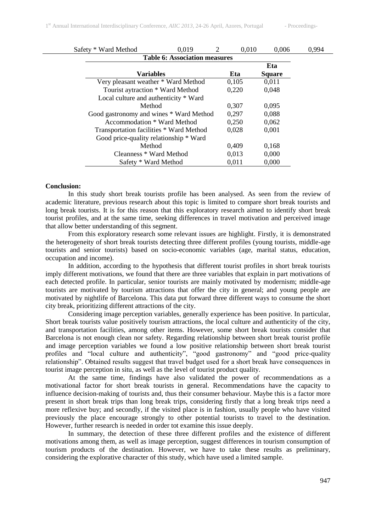| Safety * Ward Method                    | 0,019 | 2 | 0,010 | 0,006         | 0,994 |
|-----------------------------------------|-------|---|-------|---------------|-------|
| <b>Table 6: Association measures</b>    |       |   |       |               |       |
|                                         |       |   |       | Eta           |       |
| <b>Variables</b>                        |       |   | Eta   | <b>Square</b> |       |
| Very pleasant weather * Ward Method     |       |   | 0,105 | 0,011         |       |
| Tourist aytraction * Ward Method        |       |   | 0,220 | 0,048         |       |
| Local culture and authenticity * Ward   |       |   |       |               |       |
| Method                                  |       |   | 0,307 | 0,095         |       |
| Good gastronomy and wines * Ward Method |       |   | 0,297 | 0,088         |       |
| Accommodation * Ward Method             |       |   | 0,250 | 0,062         |       |
| Transportation facilities * Ward Method |       |   | 0,028 | 0,001         |       |
| Good price-quality relationship * Ward  |       |   |       |               |       |
| Method                                  |       |   | 0,409 | 0,168         |       |
| Cleanness * Ward Method                 |       |   | 0,013 | 0,000         |       |
| Safety * Ward Method                    |       |   | 0,011 | 0.000         |       |

### **Conclusion:**

In this study short break tourists profile has been analysed. As seen from the review of academic literature, previous research about this topic is limited to compare short break tourists and long break tourists. It is for this reason that this exploratory research aimed to identify short break tourist profiles, and at the same time, seeking differences in travel motivation and perceived image that allow better understanding of this segment.

From this exploratory research some relevant issues are highlight. Firstly, it is demonstrated the heterogeneity of short break tourists detecting three different profiles (young tourists, middle-age tourists and senior tourists) based on socio-economic variables (age, marital status, education, occupation and income).

In addition, according to the hypothesis that different tourist profiles in short break tourists imply different motivations, we found that there are three variables that explain in part motivations of each detected profile. In particular, senior tourists are mainly motivated by modernism; middle-age tourists are motivated by tourism attractions that offer the city in general; and young people are motivated by nightlife of Barcelona. This data put forward three different ways to consume the short city break, prioritizing different attractions of the city.

Considering image perception variables, generally experience has been positive. In particular, Short break tourists value positively tourism attractions, the local culture and authenticity of the city, and transportation facilities, among other items. However, some short break tourists consider that Barcelona is not enough clean nor safety. Regarding relationship between short break tourist profile and image perception variables we found a low positive relationship between short break tourist profiles and "local culture and authenticity", "good gastronomy" and "good price-quality relationship". Obtained results suggest that travel budget used for a short break have consequences in tourist image perception in situ, as well as the level of tourist product quality.

At the same time, findings have also validated the power of recommendations as a motivational factor for short break tourists in general. Recommendations have the capacity to influence decision-making of tourists and, thus their consumer behaviour. Maybe this is a factor more present in short break trips than long break trips, considering firstly that a long break trips need a more reflexive buy; and secondly, if the visited place is in fashion, usually people who have visited previously the place encourage strongly to other potential tourists to travel to the destination. However, further research is needed in order tot examine this issue deeply.

In summary, the detection of these three different profiles and the existence of different motivations among them, as well as image perception, suggest differences in tourism consumption of tourism products of the destination. However, we have to take these results as preliminary, considering the explorative character of this study, which have used a limited sample.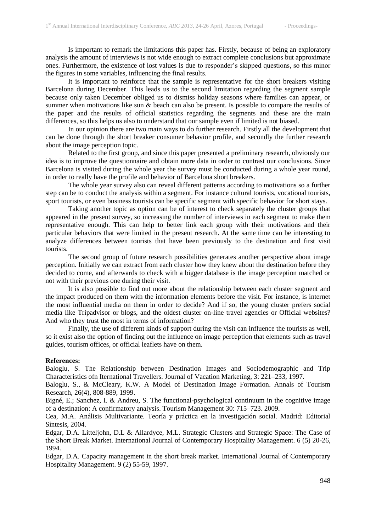Is important to remark the limitations this paper has. Firstly, because of being an exploratory analysis the amount of interviews is not wide enough to extract complete conclusions but approximate ones. Furthermore, the existence of lost values is due to responder's skipped questions, so this minor the figures in some variables, influencing the final results.

It is important to reinforce that the sample is representative for the short breakers visiting Barcelona during December. This leads us to the second limitation regarding the segment sample because only taken December obliged us to dismiss holiday seasons where families can appear, or summer when motivations like sun & beach can also be present. Is possible to compare the results of the paper and the results of official statistics regarding the segments and these are the main differences, so this helps us also to understand that our sample even if limited is not biased.

In our opinion there are two main ways to do further research. Firstly all the development that can be done through the short breaker consumer behavior profile, and secondly the further research about the image perception topic.

Related to the first group, and since this paper presented a preliminary research, obviously our idea is to improve the questionnaire and obtain more data in order to contrast our conclusions. Since Barcelona is visited during the whole year the survey must be conducted during a whole year round, in order to really have the profile and behavior of Barcelona short breakers.

The whole year survey also can reveal different patterns according to motivations so a further step can be to conduct the analysis within a segment. For instance cultural tourists, vocational tourists, sport tourists, or even business tourists can be specific segment with specific behavior for short stays.

Taking another topic as option can be of interest to check separately the cluster groups that appeared in the present survey, so increasing the number of interviews in each segment to make them representative enough. This can help to better link each group with their motivations and their particular behaviors that were limited in the present research. At the same time can be interesting to analyze differences between tourists that have been previously to the destination and first visit tourists.

The second group of future research possibilities generates another perspective about image perception. Initially we can extract from each cluster how they knew about the destination before they decided to come, and afterwards to check with a bigger database is the image perception matched or not with their previous one during their visit.

It is also possible to find out more about the relationship between each cluster segment and the impact produced on them with the information elements before the visit. For instance, is internet the most influential media on them in order to decide? And if so, the young cluster prefers social media like Tripadvisor or blogs, and the oldest cluster on-line travel agencies or Official websites? And who they trust the most in terms of information?

Finally, the use of different kinds of support during the visit can influence the tourists as well, so it exist also the option of finding out the influence on image perception that elements such as travel guides, tourism offices, or official leaflets have on them.

# **References:**

Baloglu, S. The Relationship between Destination Images and Sociodemographic and Trip Characteristics ofn Iternational Travellers. Journal of Vacation Marketing, 3: 221–233, 1997.

Baloglu, S., & McCleary, K.W. A Model of Destination Image Formation. Annals of Tourism Research, 26(4), 808-889, 1999.

Bigné, E.; Sanchez, I. & Andreu, S. The functional-psychological continuum in the cognitive image of a destination: A confirmatory analysis. Tourism Management 30: 715–723. 2009.

Cea, M.A. Análisis Multivariante. Teoría y práctica en la investigación social. Madrid: Editorial Síntesis, 2004.

Edgar, D.A. Litteljohn, D.L & Allardyce, M.L. Strategic Clusters and Strategic Space: The Case of the Short Break Market. International Journal of Contemporary Hospitality Management. 6 (5) 20-26, 1994.

Edgar, D.A. Capacity management in the short break market. International Journal of Contemporary Hospitality Management. 9 (2) 55-59, 1997.